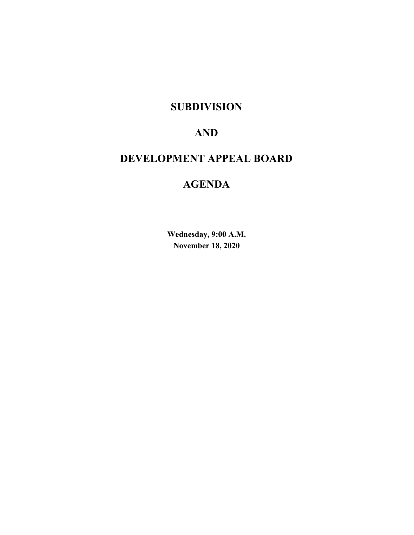## **SUBDIVISION**

# **AND**

# **DEVELOPMENT APPEAL BOARD**

# **AGENDA**

**Wednesday, 9:00 A.M. November 18, 2020**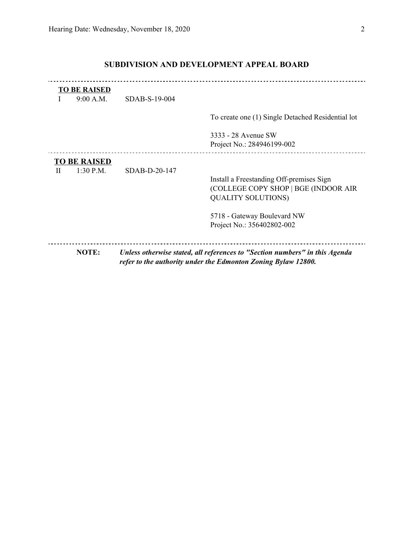## **SUBDIVISION AND DEVELOPMENT APPEAL BOARD**

|   | <b>TO BE RAISED</b><br>9:00 A.M. | $SDAB-S-19-004$ |                                                                                                                                              |
|---|----------------------------------|-----------------|----------------------------------------------------------------------------------------------------------------------------------------------|
|   |                                  |                 | To create one (1) Single Detached Residential lot                                                                                            |
|   |                                  |                 | 3333 - 28 Avenue SW<br>Project No.: 284946199-002                                                                                            |
|   | <b>TO BE RAISED</b>              |                 |                                                                                                                                              |
| H | $1:30$ P.M.                      | SDAB-D-20-147   | Install a Freestanding Off-premises Sign<br>(COLLEGE COPY SHOP   BGE (INDOOR AIR<br><b>QUALITY SOLUTIONS)</b>                                |
|   |                                  |                 | 5718 - Gateway Boulevard NW<br>Project No.: 356402802-002                                                                                    |
|   | NOTE:                            |                 | Unless otherwise stated, all references to "Section numbers" in this Agenda<br>refer to the authority under the Edmonton Zoning Bylaw 12800. |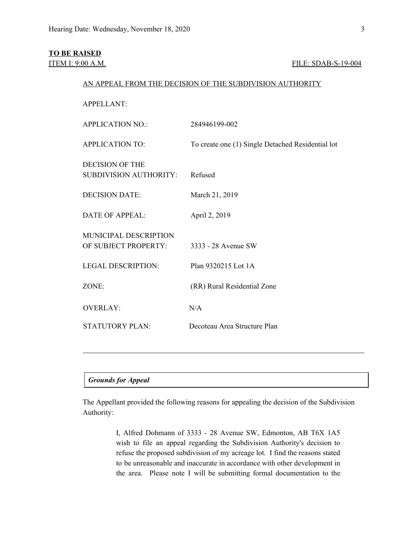## **TO BE RAISED**

## **ITEM I: 9:00 A.M. FILE: SDAB-S-19-004**

## AN APPEAL FROM THE DECISION OF THE SUBDIVISION AUTHORITY

APPELLANT:

| <b>APPLICATION NO.:</b>                                 | 284946199-002                                     |
|---------------------------------------------------------|---------------------------------------------------|
| <b>APPLICATION TO:</b>                                  | To create one (1) Single Detached Residential lot |
| <b>DECISION OF THE</b><br><b>SUBDIVISION AUTHORITY:</b> | Refused                                           |
| <b>DECISION DATE:</b>                                   | March 21, 2019                                    |
| <b>DATE OF APPEAL:</b>                                  | April 2, 2019                                     |
| MUNICIPAL DESCRIPTION<br>OF SUBJECT PROPERTY:           | 3333 - 28 Avenue SW                               |
| <b>LEGAL DESCRIPTION:</b>                               | Plan 9320215 Lot 1A                               |
| ZONE:                                                   | (RR) Rural Residential Zone                       |
| <b>OVERLAY:</b>                                         | N/A                                               |
| <b>STATUTORY PLAN:</b>                                  | Decoteau Area Structure Plan                      |

## *Grounds for Appeal*

The Appellant provided the following reasons for appealing the decision of the Subdivision Authority:

> I, Alfred Dohmann of 3333 - 28 Avenue SW, Edmonton, AB T6X 1A5 wish to file an appeal regarding the Subdivision Authority's decision to refuse the proposed subdivision of my acreage lot. I find the reasons stated to be unreasonable and inaccurate in accordance with other development in the area. Please note I will be submitting formal documentation to the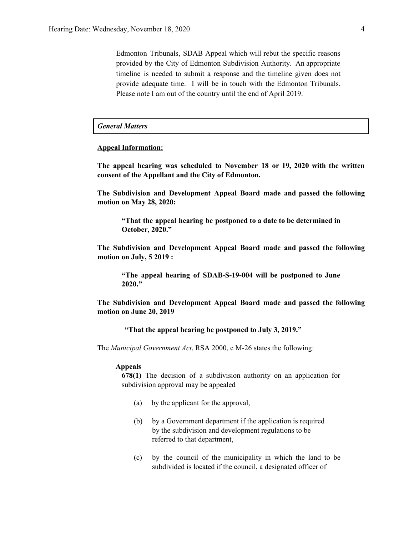Edmonton Tribunals, SDAB Appeal which will rebut the specific reasons provided by the City of Edmonton Subdivision Authority. An appropriate timeline is needed to submit a response and the timeline given does not provide adequate time. I will be in touch with the Edmonton Tribunals. Please note I am out of the country until the end of April 2019.

### *General Matters*

#### **Appeal Information:**

**The appeal hearing was scheduled to November 18 or 19, 2020 with the written consent of the Appellant and the City of Edmonton.**

**The Subdivision and Development Appeal Board made and passed the following motion on May 28, 2020:**

**"That the appeal hearing be postponed to a date to be determined in October, 2020."**

**The Subdivision and Development Appeal Board made and passed the following motion on July, 5 2019 :**

**"The appeal hearing of SDAB-S-19-004 will be postponed to June 2020."**

**The Subdivision and Development Appeal Board made and passed the following motion on June 20, 2019**

**"That the appeal hearing be postponed to July 3, 2019."**

The *Municipal Government Act*, RSA 2000, c M-26 states the following:

#### **Appeals**

**678(1)** The decision of a subdivision authority on an application for subdivision approval may be appealed

- (a) by the applicant for the approval,
- (b) by a Government department if the application is required by the subdivision and development regulations to be referred to that department,
- (c) by the council of the municipality in which the land to be subdivided is located if the council, a designated officer of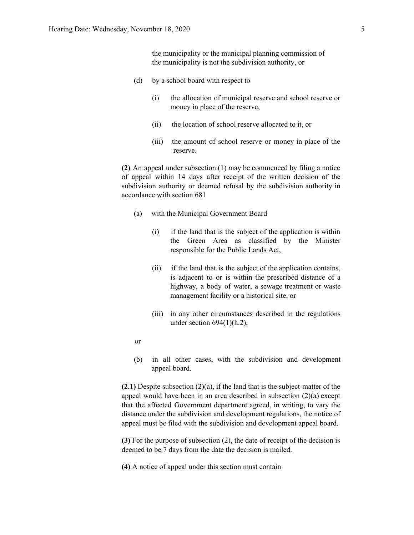the municipality or the municipal planning commission of the municipality is not the subdivision authority, or

- (d) by a school board with respect to
	- (i) the allocation of municipal reserve and school reserve or money in place of the reserve,
	- (ii) the location of school reserve allocated to it, or
	- (iii) the amount of school reserve or money in place of the reserve.

**(2)** An appeal under subsection (1) may be commenced by filing a notice of appeal within 14 days after receipt of the written decision of the subdivision authority or deemed refusal by the subdivision authority in accordance with section 681

- (a) with the Municipal Government Board
	- (i) if the land that is the subject of the application is within the Green Area as classified by the Minister responsible for the Public Lands Act,
	- (ii) if the land that is the subject of the application contains, is adjacent to or is within the prescribed distance of a highway, a body of water, a sewage treatment or waste management facility or a historical site, or
	- (iii) in any other circumstances described in the regulations under section  $694(1)(h.2)$ ,
- or
- (b) in all other cases, with the subdivision and development appeal board.

**(2.1)** Despite subsection (2)(a), if the land that is the subject-matter of the appeal would have been in an area described in subsection (2)(a) except that the affected Government department agreed, in writing, to vary the distance under the subdivision and development regulations, the notice of appeal must be filed with the subdivision and development appeal board.

**(3)** For the purpose of subsection (2), the date of receipt of the decision is deemed to be 7 days from the date the decision is mailed.

**(4)** A notice of appeal under this section must contain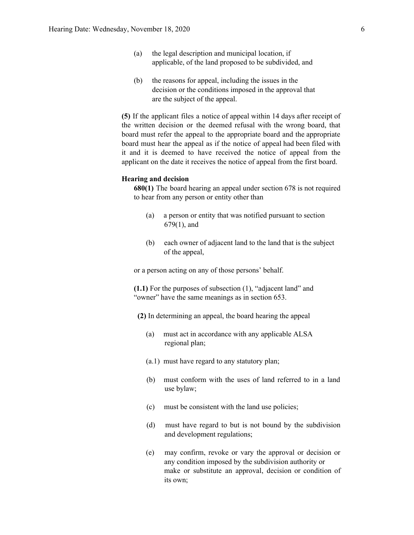- (a) the legal description and municipal location, if applicable, of the land proposed to be subdivided, and
- (b) the reasons for appeal, including the issues in the decision or the conditions imposed in the approval that are the subject of the appeal.

**(5)** If the applicant files a notice of appeal within 14 days after receipt of the written decision or the deemed refusal with the wrong board, that board must refer the appeal to the appropriate board and the appropriate board must hear the appeal as if the notice of appeal had been filed with it and it is deemed to have received the notice of appeal from the applicant on the date it receives the notice of appeal from the first board.

## **Hearing and decision**

**680(1)** The board hearing an appeal under section 678 is not required to hear from any person or entity other than

- (a) a person or entity that was notified pursuant to section 679(1), and
- (b) each owner of adjacent land to the land that is the subject of the appeal,

or a person acting on any of those persons' behalf.

**(1.1)** For the purposes of subsection (1), "adjacent land" and "owner" have the same meanings as in section 653.

- **(2)** In determining an appeal, the board hearing the appeal
	- (a) must act in accordance with any applicable ALSA regional plan;
	- (a.1) must have regard to any statutory plan;
	- (b) must conform with the uses of land referred to in a land use bylaw;
	- (c) must be consistent with the land use policies;
	- (d) must have regard to but is not bound by the subdivision and development regulations;
	- (e) may confirm, revoke or vary the approval or decision or any condition imposed by the subdivision authority or make or substitute an approval, decision or condition of its own;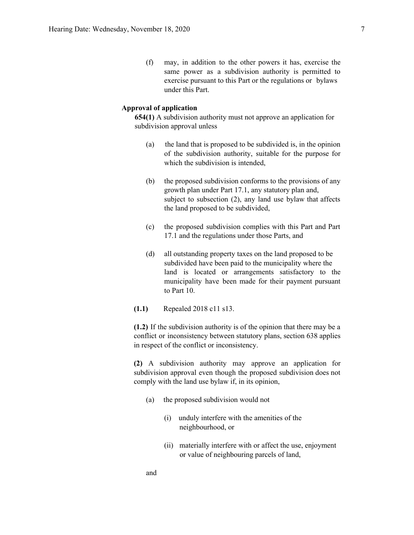(f) may, in addition to the other powers it has, exercise the same power as a subdivision authority is permitted to exercise pursuant to this Part or the regulations or bylaws under this Part.

## **Approval of application**

**654(1)** A subdivision authority must not approve an application for subdivision approval unless

- (a) the land that is proposed to be subdivided is, in the opinion of the subdivision authority, suitable for the purpose for which the subdivision is intended,
- (b) the proposed subdivision conforms to the provisions of any growth plan under Part 17.1, any statutory plan and, subject to subsection (2), any land use bylaw that affects the land proposed to be subdivided,
- (c) the proposed subdivision complies with this Part and Part 17.1 and the regulations under those Parts, and
- (d) all outstanding property taxes on the land proposed to be subdivided have been paid to the municipality where the land is located or arrangements satisfactory to the municipality have been made for their payment pursuant to Part 10.
- **(1.1)** Repealed 2018 c11 s13.

**(1.2)** If the subdivision authority is of the opinion that there may be a conflict or inconsistency between statutory plans, section 638 applies in respect of the conflict or inconsistency.

**(2)** A subdivision authority may approve an application for subdivision approval even though the proposed subdivision does not comply with the land use bylaw if, in its opinion,

- (a) the proposed subdivision would not
	- (i) unduly interfere with the amenities of the neighbourhood, or
	- (ii) materially interfere with or affect the use, enjoyment or value of neighbouring parcels of land,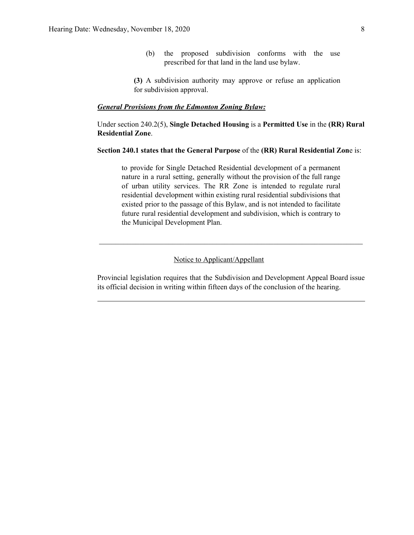(b) the proposed subdivision conforms with the use prescribed for that land in the land use bylaw.

**(3)** A subdivision authority may approve or refuse an application for subdivision approval.

#### *General Provisions from the Edmonton Zoning Bylaw:*

Under section 240.2(5), **Single Detached Housing** is a **Permitted Use** in the **(RR) Rural Residential Zone**.

## **Section 240.1 states that the General Purpose** of the **(RR) Rural Residential Zon**e is:

to provide for Single Detached Residential development of a permanent nature in a rural setting, generally without the provision of the full range of urban utility services. The RR Zone is intended to regulate rural residential development within existing rural residential subdivisions that existed prior to the passage of this Bylaw, and is not intended to facilitate future rural residential development and subdivision, which is contrary to the Municipal Development Plan.

 $\mathcal{L}_\text{max}$  , and the contribution of the contribution of the contribution of the contribution of the contribution of the contribution of the contribution of the contribution of the contribution of the contribution of t

## Notice to Applicant/Appellant

Provincial legislation requires that the Subdivision and Development Appeal Board issue its official decision in writing within fifteen days of the conclusion of the hearing.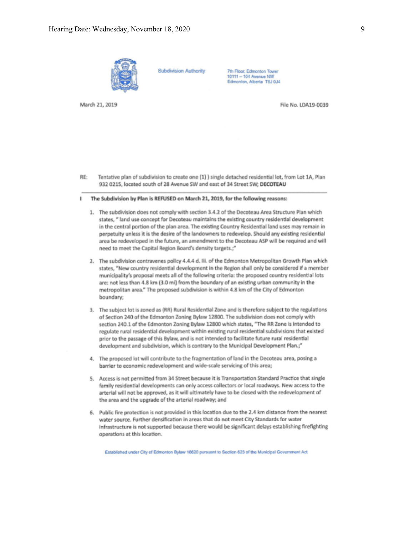

**Subdivision Authority** 

7th Floor, Edmonton Tower 10111 - 104 Avenue NW Edmonton, Alberta T5J 0J4

March 21, 2019

File No. LDA19-0039

- RE: Tentative plan of subdivision to create one (1) ) single detached residential lot, from Lot 1A, Plan 932 0215, located south of 28 Avenue SW and east of 34 Street SW; DECOTEAU
- The Subdivision by Plan is REFUSED on March 21, 2019, for the following reasons:
	- 1. The subdivision does not comply with section 3.4.2 of the Decoteau Area Structure Plan which states, " land use concept for Decoteau maintains the existing country residential development in the central portion of the plan area. The existing Country Residential land uses may remain in perpetuity unless it is the desire of the landowners to redevelop. Should any existing residential area be redeveloped in the future, an amendment to the Decoteau ASP will be required and will need to meet the Capital Region Board's density targets.;"
	- 2. The subdivision contravenes policy 4.4.4 d. Iii. of the Edmonton Metropolitan Growth Plan which states, "New country residential development in the Region shall only be considered if a member municipality's proposal meets all of the following criteria: the proposed country residential lots are: not less than 4.8 km (3.0 mi) from the boundary of an existing urban community in the metropolitan area." The proposed subdivision is within 4.8 km of the City of Edmonton boundary;
	- 3. The subject lot is zoned as (RR) Rural Residential Zone and is therefore subject to the regulations of Section 240 of the Edmonton Zoning Bylaw 12800. The subdivision does not comply with section 240.1 of the Edmonton Zoning Bylaw 12800 which states, "The RR Zone is intended to regulate rural residential development within existing rural residential subdivisions that existed prior to the passage of this Bylaw, and is not intended to facilitate future rural residential development and subdivision, which is contrary to the Municipal Development Plan.;"
	- 4. The proposed lot will contribute to the fragmentation of land in the Decoteau area, posing a barrier to economic redevelopment and wide-scale servicing of this area;
	- 5. Access is not permitted from 34 Street because it is Transportation Standard Practice that single family residential developments can only access collectors or local roadways. New access to the arterial will not be approved, as it will ultimately have to be closed with the redevelopment of the area and the upgrade of the arterial roadway; and
	- 6. Public fire protection is not provided in this location due to the 2.4 km distance from the nearest water source. Further densification in areas that do not meet City Standards for water infrastructure is not supported because there would be significant delays establishing firefighting operations at this location.

Established under City of Edmonton Bylaw 16620 pursuant to Section 623 of the Municipal Government Act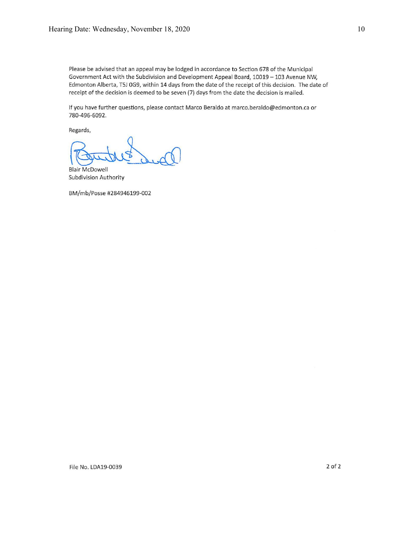Please be advised that an appeal may be lodged in accordance to Section 678 of the Municipal Government Act with the Subdivision and Development Appeal Board, 10019 - 103 Avenue NW, Edmonton Alberta, T5J 0G9, within 14 days from the date of the receipt of this decision. The date of receipt of the decision is deemed to be seven (7) days from the date the decision is mailed.

If you have further questions, please contact Marco Beraldo at marco.beraldo@edmonton.ca or 780-496-6092.

Regards,

**Blair McDowell Subdivision Authority** 

BM/mb/Posse #284946199-002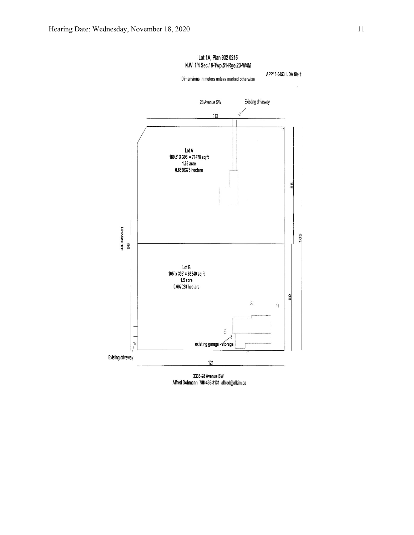

3333-28 Avenue SW Alfred Dohmann 780-436-3131 alfred@alkim.ca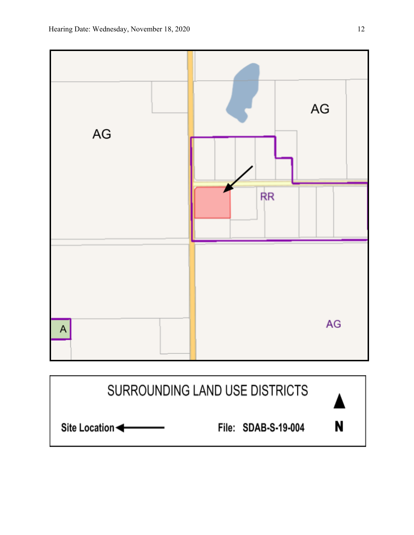

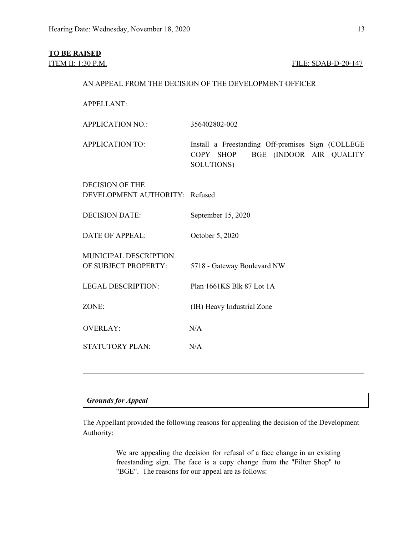## **TO BE RAISED**

## **ITEM II: 1:30 P.M. FILE: SDAB-D-20-147**

## AN APPEAL FROM THE DECISION OF THE DEVELOPMENT OFFICER

APPELLANT:

APPLICATION NO.: 356402802-002

APPLICATION TO: Install a Freestanding Off-premises Sign (COLLEGE COPY SHOP | BGE (INDOOR AIR QUALITY SOLUTIONS)

DECISION OF THE DEVELOPMENT AUTHORITY: Refused

DECISION DATE: September 15, 2020

DATE OF APPEAL: October 5, 2020

MUNICIPAL DESCRIPTION OF SUBJECT PROPERTY: 5718 - Gateway Boulevard NW

LEGAL DESCRIPTION: Plan 1661KS Blk 87 Lot 1A

ZONE: (IH) Heavy Industrial Zone

OVERLAY: N/A STATUTORY PLAN: N/A

## *Grounds for Appeal*

The Appellant provided the following reasons for appealing the decision of the Development Authority:

> We are appealing the decision for refusal of a face change in an existing freestanding sign. The face is a copy change from the "Filter Shop" to "BGE". The reasons for our appeal are as follows: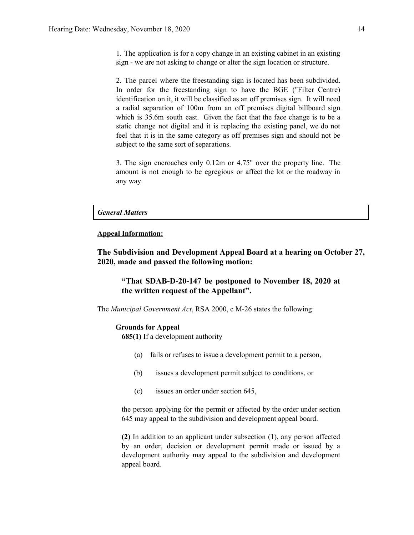1. The application is for a copy change in an existing cabinet in an existing sign - we are not asking to change or alter the sign location or structure.

2. The parcel where the freestanding sign is located has been subdivided. In order for the freestanding sign to have the BGE ("Filter Centre) identification on it, it will be classified as an off premises sign. It will need a radial separation of 100m from an off premises digital billboard sign which is 35.6m south east. Given the fact that the face change is to be a static change not digital and it is replacing the existing panel, we do not feel that it is in the same category as off premises sign and should not be subject to the same sort of separations.

3. The sign encroaches only 0.12m or 4.75" over the property line. The amount is not enough to be egregious or affect the lot or the roadway in any way.

## *General Matters*

## **Appeal Information:**

**The Subdivision and Development Appeal Board at a hearing on October 27, 2020, made and passed the following motion:**

## **"That SDAB-D-20-147 be postponed to November 18, 2020 at the written request of the Appellant".**

The *Municipal Government Act*, RSA 2000, c M-26 states the following:

#### **Grounds for Appeal**

**685(1)** If a development authority

- (a) fails or refuses to issue a development permit to a person,
- (b) issues a development permit subject to conditions, or
- (c) issues an order under section 645,

the person applying for the permit or affected by the order under section 645 may appeal to the subdivision and development appeal board.

**(2)** In addition to an applicant under subsection (1), any person affected by an order, decision or development permit made or issued by a development authority may appeal to the subdivision and development appeal board.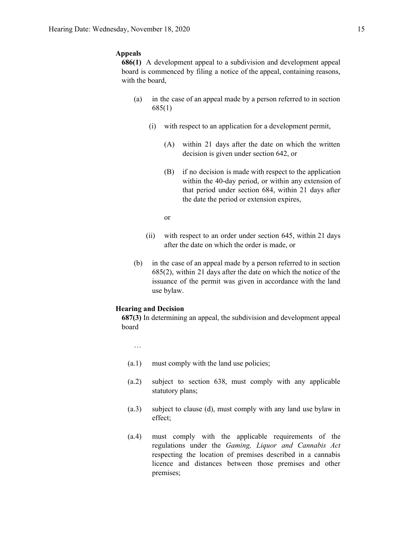## **Appeals**

**686(1)** A development appeal to a subdivision and development appeal board is commenced by filing a notice of the appeal, containing reasons, with the board,

- (a) in the case of an appeal made by a person referred to in section 685(1)
	- (i) with respect to an application for a development permit,
		- (A) within 21 days after the date on which the written decision is given under section 642, or
		- (B) if no decision is made with respect to the application within the 40-day period, or within any extension of that period under section 684, within 21 days after the date the period or extension expires,
		- or
	- (ii) with respect to an order under section 645, within 21 days after the date on which the order is made, or
- (b) in the case of an appeal made by a person referred to in section 685(2), within 21 days after the date on which the notice of the issuance of the permit was given in accordance with the land use bylaw.

#### **Hearing and Decision**

**687(3)** In determining an appeal, the subdivision and development appeal board

- …
- (a.1) must comply with the land use policies;
- (a.2) subject to section 638, must comply with any applicable statutory plans;
- (a.3) subject to clause (d), must comply with any land use bylaw in effect;
- (a.4) must comply with the applicable requirements of the regulations under the *Gaming, Liquor and Cannabis Act* respecting the location of premises described in a cannabis licence and distances between those premises and other premises;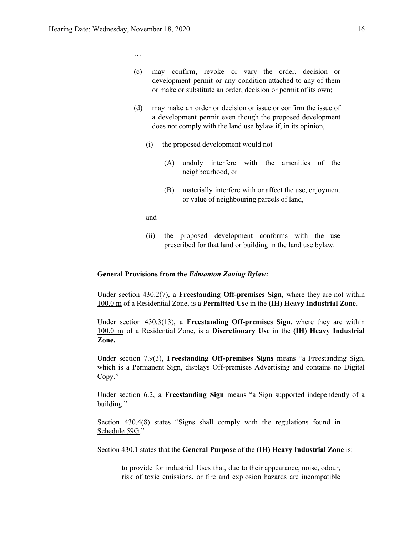…

(c) may confirm, revoke or vary the order, decision or development permit or any condition attached to any of them or make or substitute an order, decision or permit of its own;

- (d) may make an order or decision or issue or confirm the issue of a development permit even though the proposed development does not comply with the land use bylaw if, in its opinion,
	- (i) the proposed development would not
		- (A) unduly interfere with the amenities of the neighbourhood, or
		- (B) materially interfere with or affect the use, enjoyment or value of neighbouring parcels of land,
	- and
	- (ii) the proposed development conforms with the use prescribed for that land or building in the land use bylaw.

#### **General Provisions from the** *Edmonton Zoning Bylaw:*

Under section 430.2(7), a **Freestanding Off-premises Sign**, where they are not within 100.0 m of a Residential Zone, is a **Permitted Use** in the **(IH) Heavy Industrial Zone.**

Under section 430.3(13), a **Freestanding Off-premises Sign**, where they are within 100.0 m of a Residential Zone, is a **Discretionary Use** in the **(IH) Heavy Industrial Zone.**

Under section 7.9(3), **Freestanding Off-premises Signs** means "a Freestanding Sign, which is a Permanent Sign, displays Off-premises Advertising and contains no Digital Copy."

Under section 6.2, a **Freestanding Sign** means "a Sign supported independently of a building."

Section 430.4(8) states "Signs shall comply with the regulations found in Schedule 59G."

Section 430.1 states that the **General Purpose** of the **(IH) Heavy Industrial Zone** is:

to provide for industrial Uses that, due to their appearance, noise, odour, risk of toxic emissions, or fire and explosion hazards are incompatible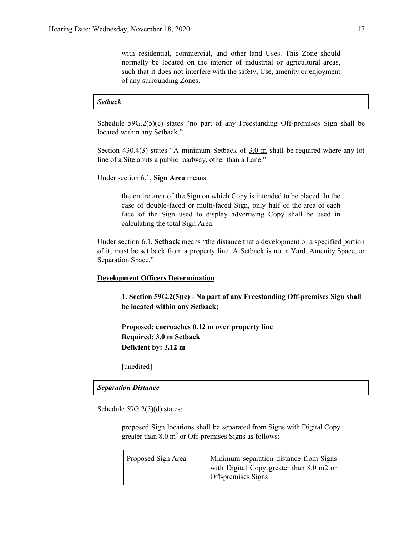with residential, commercial, and other land Uses. This Zone should normally be located on the interior of industrial or agricultural areas, such that it does not interfere with the safety, Use, amenity or enjoyment of any surrounding Zones.

## *Setback*

Schedule  $59G.2(5)(c)$  states "no part of any Freestanding Off-premises Sign shall be located within any Setback."

Section 430.4(3) states "A minimum Setback of  $3.0 \text{ m}$  shall be required where any lot line of a Site abuts a public roadway, other than a Lane."

Under section 6.1, **Sign Area** means:

the entire area of the Sign on which Copy is intended to be placed. In the case of double-faced or multi-faced Sign, only half of the area of each face of the Sign used to display advertising Copy shall be used in calculating the total Sign Area.

Under section 6.1, **Setback** means "the distance that a development or a specified portion of it, must be set back from a property line. A Setback is not a Yard, Amenity Space, or Separation Space."

### **Development Officers Determination**

**1. Section 59G.2(5)(c) - No part of any Freestanding Off-premises Sign shall be located within any Setback;**

**Proposed: encroaches 0.12 m over property line Required: 3.0 m Setback Deficient by: 3.12 m**

[unedited]

#### *Separation Distance*

Schedule 59G.2(5)(d) states:

proposed Sign locations shall be separated from Signs with Digital Copy greater than  $8.0 \text{ m}^2$  or Off-premises Signs as follows:

| Proposed Sign Area | Minimum separation distance from Signs<br>with Digital Copy greater than $8.0 \text{ m2}$ or<br>Off-premises Signs |
|--------------------|--------------------------------------------------------------------------------------------------------------------|
|                    |                                                                                                                    |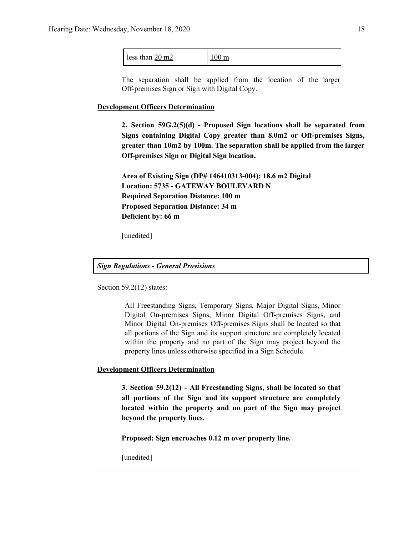| less than $20 \text{ m}2$ | $100 \text{ m}$ |
|---------------------------|-----------------|
|---------------------------|-----------------|

The separation shall be applied from the location of the larger Off-premises Sign or Sign with Digital Copy.

#### **Development Officers Determination**

**2. Section 59G.2(5)(d) - Proposed Sign locations shall be separated from Signs containing Digital Copy greater than 8.0m2 or Off-premises Signs, greater than 10m2 by 100m. The separation shall be applied from the larger Off-premises Sign or Digital Sign location.**

**Area of Existing Sign (DP# 146410313-004): 18.6 m2 Digital Location: 5735 - GATEWAY BOULEVARD N Required Separation Distance: 100 m Proposed Separation Distance: 34 m Deficient by: 66 m**

[unedited]

#### *Sign Regulations - General Provisions*

Section 59.2(12) states:

All Freestanding Signs, Temporary Signs, Major Digital Signs, Minor Digital On-premises Signs, Minor Digital Off-premises Signs, and Minor Digital On-premises Off-premises Signs shall be located so that all portions of the Sign and its support structure are completely located within the property and no part of the Sign may project beyond the property lines unless otherwise specified in a Sign Schedule.

## **Development Officers Determination**

**3. Section 59.2(12) - All Freestanding Signs, shall be located so that all portions of the Sign and its support structure are completely located within the property and no part of the Sign may project beyond the property lines.**

 $\mathcal{L}_\text{max}$  , and the contribution of the contribution of the contribution of the contribution of the contribution of the contribution of the contribution of the contribution of the contribution of the contribution of t

**Proposed: Sign encroaches 0.12 m over property line.**

[unedited]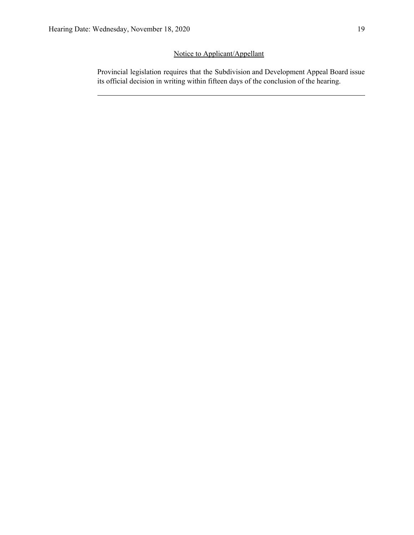## Notice to Applicant/Appellant

Provincial legislation requires that the Subdivision and Development Appeal Board issue its official decision in writing within fifteen days of the conclusion of the hearing.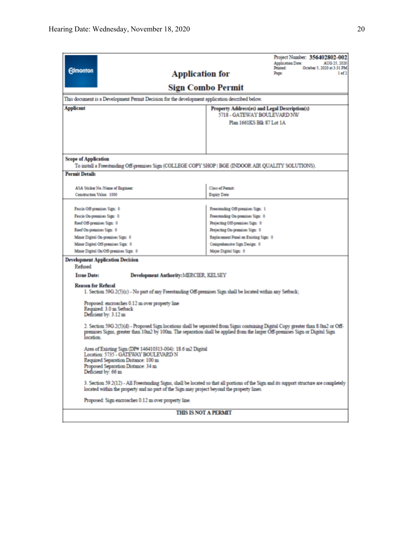| Sign Combo Permit<br>This document is a Development Permit Decision for the development application described below.<br>Applicant<br>Property Address(es) and Legal Description(s)<br>5718 - GATEWAY BOULEVARD NW<br>Plan 1661KS Blk 87 Lot 1A<br><b>Scope of Application</b><br>To install a Freestanding Off-premises Sign (COLLEGE COPY SHOP   BGE (INDOOR AIR QUALITY SOLUTIONS).<br><b>Permit Details</b><br>Class of Permit<br>ASA Sticker No./Name of Engineer:<br>Construction Value: 1000<br>Expiry Date:<br>Freestanding Off-premises Sign: 1<br>Fascia Off-premises Sign: 0<br>Freestanding On-premises Sign: 0<br>Fascia On-premises Sign: 0<br>Roof Off-premises Sign: 0<br>Projecting Off-premises Sign: 0<br>Roof On-premises Sign: 0<br>Projecting On-premises Sign: 0<br>Replacement Panel on Existing Sign: 0<br>Minor Digital On-premises Sign: 0<br>Minor Digital Off-premises Sign: 0<br>Comprehensive Sign Design: 0<br>Minor Digital On/Off-premises Sign: 0<br>Major Digital Sign: 0<br><b>Development Application Decision</b><br>Refused<br><b>Issue Date:</b><br><b>Development Authority: MERCIER, KELSEY</b><br><b>Reason for Refusal</b><br>1. Section 59G.2(5)(c) - No part of any Freestanding Off-premises Sign shall be located within any Setback;<br>Proposed: encroaches 0.12 m over property line<br>Required: 3.0 m Setback<br>Deficient by: 3.12 m<br>2. Section 59G.2(5)(d) - Proposed Sign locations shall be separated from Signs containing Digital Copy greater than 8.0m2 or Off-<br>premises Signs, greater than 10m2 by 100m. The separation shall be applied from the larger Off-premises Sign or Digital Sign<br>location.<br>Area of Existing Sign (DP# 146410313-004): 18.6 m2 Digital<br>Location: 5735 - GATEWAY BOULEVARD N<br>Required Separation Distance: 100 m<br>Proposed Separation Distance: 34 m<br>Deficient by: 66 m<br>3. Section 59.2(12) - All Freestanding Signs, shall be located so that all portions of the Sign and its support structure are completely<br>located within the property and no part of the Sign may project beyond the property lines.<br>Proposed: Sign encroaches 0.12 m over property line.<br><b>THIS IS NOT A PERMIT</b> | <b>Edmonton</b> | <b>Application for</b> |  | Project Number: 356402802-002<br><b>Application Date:</b><br>AUG 25, 2020<br>Printed<br>October 5, 2020 at 3:31 PM<br>Page:<br>1 <sub>of</sub> 2 |  |  |  |
|------------------------------------------------------------------------------------------------------------------------------------------------------------------------------------------------------------------------------------------------------------------------------------------------------------------------------------------------------------------------------------------------------------------------------------------------------------------------------------------------------------------------------------------------------------------------------------------------------------------------------------------------------------------------------------------------------------------------------------------------------------------------------------------------------------------------------------------------------------------------------------------------------------------------------------------------------------------------------------------------------------------------------------------------------------------------------------------------------------------------------------------------------------------------------------------------------------------------------------------------------------------------------------------------------------------------------------------------------------------------------------------------------------------------------------------------------------------------------------------------------------------------------------------------------------------------------------------------------------------------------------------------------------------------------------------------------------------------------------------------------------------------------------------------------------------------------------------------------------------------------------------------------------------------------------------------------------------------------------------------------------------------------------------------------------------------------------------------------------------------------------------------------------------------------------------------------------------------|-----------------|------------------------|--|--------------------------------------------------------------------------------------------------------------------------------------------------|--|--|--|
|                                                                                                                                                                                                                                                                                                                                                                                                                                                                                                                                                                                                                                                                                                                                                                                                                                                                                                                                                                                                                                                                                                                                                                                                                                                                                                                                                                                                                                                                                                                                                                                                                                                                                                                                                                                                                                                                                                                                                                                                                                                                                                                                                                                                                        |                 |                        |  |                                                                                                                                                  |  |  |  |
|                                                                                                                                                                                                                                                                                                                                                                                                                                                                                                                                                                                                                                                                                                                                                                                                                                                                                                                                                                                                                                                                                                                                                                                                                                                                                                                                                                                                                                                                                                                                                                                                                                                                                                                                                                                                                                                                                                                                                                                                                                                                                                                                                                                                                        |                 |                        |  |                                                                                                                                                  |  |  |  |
|                                                                                                                                                                                                                                                                                                                                                                                                                                                                                                                                                                                                                                                                                                                                                                                                                                                                                                                                                                                                                                                                                                                                                                                                                                                                                                                                                                                                                                                                                                                                                                                                                                                                                                                                                                                                                                                                                                                                                                                                                                                                                                                                                                                                                        |                 |                        |  |                                                                                                                                                  |  |  |  |
|                                                                                                                                                                                                                                                                                                                                                                                                                                                                                                                                                                                                                                                                                                                                                                                                                                                                                                                                                                                                                                                                                                                                                                                                                                                                                                                                                                                                                                                                                                                                                                                                                                                                                                                                                                                                                                                                                                                                                                                                                                                                                                                                                                                                                        |                 |                        |  |                                                                                                                                                  |  |  |  |
|                                                                                                                                                                                                                                                                                                                                                                                                                                                                                                                                                                                                                                                                                                                                                                                                                                                                                                                                                                                                                                                                                                                                                                                                                                                                                                                                                                                                                                                                                                                                                                                                                                                                                                                                                                                                                                                                                                                                                                                                                                                                                                                                                                                                                        |                 |                        |  |                                                                                                                                                  |  |  |  |
|                                                                                                                                                                                                                                                                                                                                                                                                                                                                                                                                                                                                                                                                                                                                                                                                                                                                                                                                                                                                                                                                                                                                                                                                                                                                                                                                                                                                                                                                                                                                                                                                                                                                                                                                                                                                                                                                                                                                                                                                                                                                                                                                                                                                                        |                 |                        |  |                                                                                                                                                  |  |  |  |
|                                                                                                                                                                                                                                                                                                                                                                                                                                                                                                                                                                                                                                                                                                                                                                                                                                                                                                                                                                                                                                                                                                                                                                                                                                                                                                                                                                                                                                                                                                                                                                                                                                                                                                                                                                                                                                                                                                                                                                                                                                                                                                                                                                                                                        |                 |                        |  |                                                                                                                                                  |  |  |  |
|                                                                                                                                                                                                                                                                                                                                                                                                                                                                                                                                                                                                                                                                                                                                                                                                                                                                                                                                                                                                                                                                                                                                                                                                                                                                                                                                                                                                                                                                                                                                                                                                                                                                                                                                                                                                                                                                                                                                                                                                                                                                                                                                                                                                                        |                 |                        |  |                                                                                                                                                  |  |  |  |
|                                                                                                                                                                                                                                                                                                                                                                                                                                                                                                                                                                                                                                                                                                                                                                                                                                                                                                                                                                                                                                                                                                                                                                                                                                                                                                                                                                                                                                                                                                                                                                                                                                                                                                                                                                                                                                                                                                                                                                                                                                                                                                                                                                                                                        |                 |                        |  |                                                                                                                                                  |  |  |  |
|                                                                                                                                                                                                                                                                                                                                                                                                                                                                                                                                                                                                                                                                                                                                                                                                                                                                                                                                                                                                                                                                                                                                                                                                                                                                                                                                                                                                                                                                                                                                                                                                                                                                                                                                                                                                                                                                                                                                                                                                                                                                                                                                                                                                                        |                 |                        |  |                                                                                                                                                  |  |  |  |
|                                                                                                                                                                                                                                                                                                                                                                                                                                                                                                                                                                                                                                                                                                                                                                                                                                                                                                                                                                                                                                                                                                                                                                                                                                                                                                                                                                                                                                                                                                                                                                                                                                                                                                                                                                                                                                                                                                                                                                                                                                                                                                                                                                                                                        |                 |                        |  |                                                                                                                                                  |  |  |  |
|                                                                                                                                                                                                                                                                                                                                                                                                                                                                                                                                                                                                                                                                                                                                                                                                                                                                                                                                                                                                                                                                                                                                                                                                                                                                                                                                                                                                                                                                                                                                                                                                                                                                                                                                                                                                                                                                                                                                                                                                                                                                                                                                                                                                                        |                 |                        |  |                                                                                                                                                  |  |  |  |
|                                                                                                                                                                                                                                                                                                                                                                                                                                                                                                                                                                                                                                                                                                                                                                                                                                                                                                                                                                                                                                                                                                                                                                                                                                                                                                                                                                                                                                                                                                                                                                                                                                                                                                                                                                                                                                                                                                                                                                                                                                                                                                                                                                                                                        |                 |                        |  |                                                                                                                                                  |  |  |  |
|                                                                                                                                                                                                                                                                                                                                                                                                                                                                                                                                                                                                                                                                                                                                                                                                                                                                                                                                                                                                                                                                                                                                                                                                                                                                                                                                                                                                                                                                                                                                                                                                                                                                                                                                                                                                                                                                                                                                                                                                                                                                                                                                                                                                                        |                 |                        |  |                                                                                                                                                  |  |  |  |
|                                                                                                                                                                                                                                                                                                                                                                                                                                                                                                                                                                                                                                                                                                                                                                                                                                                                                                                                                                                                                                                                                                                                                                                                                                                                                                                                                                                                                                                                                                                                                                                                                                                                                                                                                                                                                                                                                                                                                                                                                                                                                                                                                                                                                        |                 |                        |  |                                                                                                                                                  |  |  |  |
|                                                                                                                                                                                                                                                                                                                                                                                                                                                                                                                                                                                                                                                                                                                                                                                                                                                                                                                                                                                                                                                                                                                                                                                                                                                                                                                                                                                                                                                                                                                                                                                                                                                                                                                                                                                                                                                                                                                                                                                                                                                                                                                                                                                                                        |                 |                        |  |                                                                                                                                                  |  |  |  |
|                                                                                                                                                                                                                                                                                                                                                                                                                                                                                                                                                                                                                                                                                                                                                                                                                                                                                                                                                                                                                                                                                                                                                                                                                                                                                                                                                                                                                                                                                                                                                                                                                                                                                                                                                                                                                                                                                                                                                                                                                                                                                                                                                                                                                        |                 |                        |  |                                                                                                                                                  |  |  |  |
|                                                                                                                                                                                                                                                                                                                                                                                                                                                                                                                                                                                                                                                                                                                                                                                                                                                                                                                                                                                                                                                                                                                                                                                                                                                                                                                                                                                                                                                                                                                                                                                                                                                                                                                                                                                                                                                                                                                                                                                                                                                                                                                                                                                                                        |                 |                        |  |                                                                                                                                                  |  |  |  |
|                                                                                                                                                                                                                                                                                                                                                                                                                                                                                                                                                                                                                                                                                                                                                                                                                                                                                                                                                                                                                                                                                                                                                                                                                                                                                                                                                                                                                                                                                                                                                                                                                                                                                                                                                                                                                                                                                                                                                                                                                                                                                                                                                                                                                        |                 |                        |  |                                                                                                                                                  |  |  |  |
|                                                                                                                                                                                                                                                                                                                                                                                                                                                                                                                                                                                                                                                                                                                                                                                                                                                                                                                                                                                                                                                                                                                                                                                                                                                                                                                                                                                                                                                                                                                                                                                                                                                                                                                                                                                                                                                                                                                                                                                                                                                                                                                                                                                                                        |                 |                        |  |                                                                                                                                                  |  |  |  |
|                                                                                                                                                                                                                                                                                                                                                                                                                                                                                                                                                                                                                                                                                                                                                                                                                                                                                                                                                                                                                                                                                                                                                                                                                                                                                                                                                                                                                                                                                                                                                                                                                                                                                                                                                                                                                                                                                                                                                                                                                                                                                                                                                                                                                        |                 |                        |  |                                                                                                                                                  |  |  |  |
|                                                                                                                                                                                                                                                                                                                                                                                                                                                                                                                                                                                                                                                                                                                                                                                                                                                                                                                                                                                                                                                                                                                                                                                                                                                                                                                                                                                                                                                                                                                                                                                                                                                                                                                                                                                                                                                                                                                                                                                                                                                                                                                                                                                                                        |                 |                        |  |                                                                                                                                                  |  |  |  |
|                                                                                                                                                                                                                                                                                                                                                                                                                                                                                                                                                                                                                                                                                                                                                                                                                                                                                                                                                                                                                                                                                                                                                                                                                                                                                                                                                                                                                                                                                                                                                                                                                                                                                                                                                                                                                                                                                                                                                                                                                                                                                                                                                                                                                        |                 |                        |  |                                                                                                                                                  |  |  |  |
|                                                                                                                                                                                                                                                                                                                                                                                                                                                                                                                                                                                                                                                                                                                                                                                                                                                                                                                                                                                                                                                                                                                                                                                                                                                                                                                                                                                                                                                                                                                                                                                                                                                                                                                                                                                                                                                                                                                                                                                                                                                                                                                                                                                                                        |                 |                        |  |                                                                                                                                                  |  |  |  |
|                                                                                                                                                                                                                                                                                                                                                                                                                                                                                                                                                                                                                                                                                                                                                                                                                                                                                                                                                                                                                                                                                                                                                                                                                                                                                                                                                                                                                                                                                                                                                                                                                                                                                                                                                                                                                                                                                                                                                                                                                                                                                                                                                                                                                        |                 |                        |  |                                                                                                                                                  |  |  |  |
|                                                                                                                                                                                                                                                                                                                                                                                                                                                                                                                                                                                                                                                                                                                                                                                                                                                                                                                                                                                                                                                                                                                                                                                                                                                                                                                                                                                                                                                                                                                                                                                                                                                                                                                                                                                                                                                                                                                                                                                                                                                                                                                                                                                                                        |                 |                        |  |                                                                                                                                                  |  |  |  |
|                                                                                                                                                                                                                                                                                                                                                                                                                                                                                                                                                                                                                                                                                                                                                                                                                                                                                                                                                                                                                                                                                                                                                                                                                                                                                                                                                                                                                                                                                                                                                                                                                                                                                                                                                                                                                                                                                                                                                                                                                                                                                                                                                                                                                        |                 |                        |  |                                                                                                                                                  |  |  |  |
|                                                                                                                                                                                                                                                                                                                                                                                                                                                                                                                                                                                                                                                                                                                                                                                                                                                                                                                                                                                                                                                                                                                                                                                                                                                                                                                                                                                                                                                                                                                                                                                                                                                                                                                                                                                                                                                                                                                                                                                                                                                                                                                                                                                                                        |                 |                        |  |                                                                                                                                                  |  |  |  |
|                                                                                                                                                                                                                                                                                                                                                                                                                                                                                                                                                                                                                                                                                                                                                                                                                                                                                                                                                                                                                                                                                                                                                                                                                                                                                                                                                                                                                                                                                                                                                                                                                                                                                                                                                                                                                                                                                                                                                                                                                                                                                                                                                                                                                        |                 |                        |  |                                                                                                                                                  |  |  |  |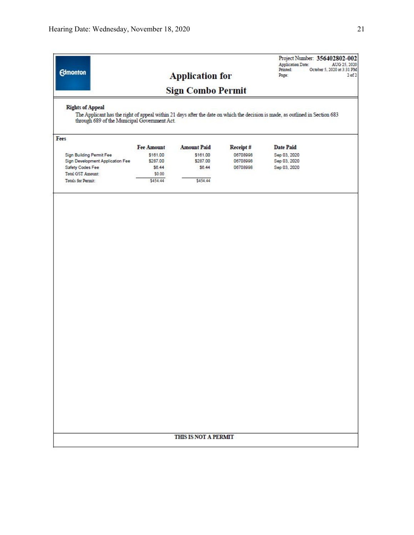| <b>Edmonton</b>                                                         |                   | <b>Application for</b> |          | Project Number: 356402802-002<br><b>Application Date:</b><br>AUG 25, 2020<br>Printed:<br>October 5, 2020 at 3:31 PM<br>$2$ of $2$<br>Page: |  |
|-------------------------------------------------------------------------|-------------------|------------------------|----------|--------------------------------------------------------------------------------------------------------------------------------------------|--|
| <b>Sign Combo Permit</b>                                                |                   |                        |          |                                                                                                                                            |  |
| <b>Rights of Appeal</b><br>through 689 of the Municipal Government Act. |                   |                        |          | The Applicant has the right of appeal within 21 days after the date on which the decision is made, as outlined in Section 683              |  |
| Fees                                                                    |                   |                        |          |                                                                                                                                            |  |
|                                                                         | <b>Fee Amount</b> | <b>Amount Paid</b>     | Receipt# | <b>Date Paid</b>                                                                                                                           |  |
| Sign Building Permit Fee                                                | \$161.00          | \$161.00               | 06708998 | Sep 03, 2020                                                                                                                               |  |
| Sign Development Application Fee                                        | \$287.00          | \$287.00               | 06708998 | Sep 03, 2020                                                                                                                               |  |
| Safety Codes Fee                                                        | \$6.44            | \$6.44                 | 06708998 | Sep 03, 2020                                                                                                                               |  |
| <b>Total GST Amount:</b>                                                | \$0.00            |                        |          |                                                                                                                                            |  |
| Totals for Permit:                                                      | \$454.44          | \$454.44               |          |                                                                                                                                            |  |
|                                                                         |                   |                        |          |                                                                                                                                            |  |
|                                                                         |                   | THIS IS NOT A PERMIT   |          |                                                                                                                                            |  |
|                                                                         |                   |                        |          |                                                                                                                                            |  |